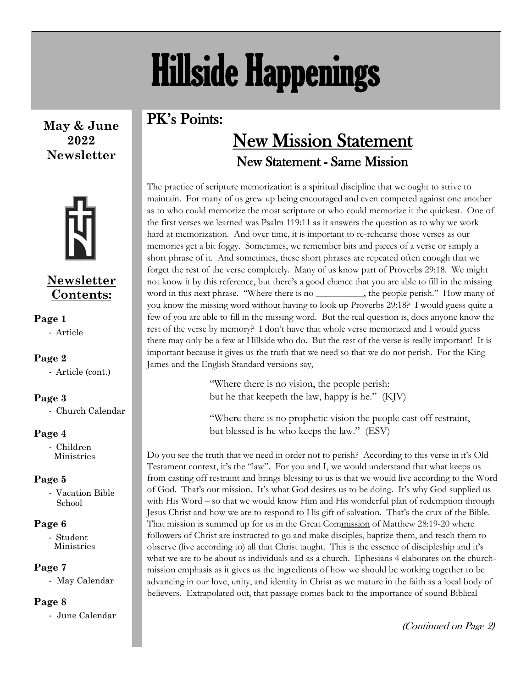# Hillside Happenings

### PK's Points:

**May & June 2022 Newsletter**



### **Newsletter Contents:**

### **Page 1**

- Article

### **Page 2**

- Article (cont.)

### **Page 3**

- Church Calendar

### **Page 4**

- Children Ministries

### **Page 5**

- Vacation Bible School

### **Page 6**

- Student Ministries

### **Page 7**

- May Calendar

### **Page 8**

- June Calendar

### New Mission Statement New Statement - Same Mission

The practice of scripture memorization is a spiritual discipline that we ought to strive to maintain. For many of us grew up being encouraged and even competed against one another as to who could memorize the most scripture or who could memorize it the quickest. One of the first verses we learned was Psalm 119:11 as it answers the question as to why we work hard at memorization. And over time, it is important to re-rehearse those verses as our memories get a bit foggy. Sometimes, we remember bits and pieces of a verse or simply a short phrase of it. And sometimes, these short phrases are repeated often enough that we forget the rest of the verse completely. Many of us know part of Proverbs 29:18. We might not know it by this reference, but there's a good chance that you are able to fill in the missing word in this next phrase. "Where there is no \_\_\_\_\_\_\_\_\_\_, the people perish." How many of you know the missing word without having to look up Proverbs 29:18? I would guess quite a few of you are able to fill in the missing word. But the real question is, does anyone know the rest of the verse by memory? I don't have that whole verse memorized and I would guess there may only be a few at Hillside who do. But the rest of the verse is really important! It is important because it gives us the truth that we need so that we do not perish. For the King James and the English Standard versions say,

> "Where there is no vision, the people perish: but he that keepeth the law, happy is he." (KJV)

"Where there is no prophetic vision the people cast off restraint, but blessed is he who keeps the law." (ESV)

Do you see the truth that we need in order not to perish? According to this verse in it's Old Testament context, it's the "law". For you and I, we would understand that what keeps us from casting off restraint and brings blessing to us is that we would live according to the Word of God. That's our mission. It's what God desires us to be doing. It's why God supplied us with His Word – so that we would know Him and His wonderful plan of redemption through Jesus Christ and how we are to respond to His gift of salvation. That's the crux of the Bible. That mission is summed up for us in the Great Commission of Matthew 28:19-20 where followers of Christ are instructed to go and make disciples, baptize them, and teach them to observe (live according to) all that Christ taught. This is the essence of discipleship and it's what we are to be about as individuals and as a church. Ephesians 4 elaborates on the churchmission emphasis as it gives us the ingredients of how we should be working together to be advancing in our love, unity, and identity in Christ as we mature in the faith as a local body of believers. Extrapolated out, that passage comes back to the importance of sound Biblical

(Continued on Page 2)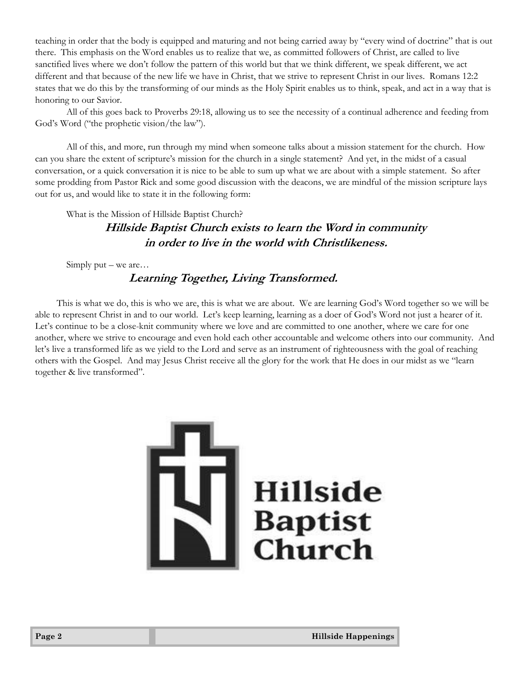teaching in order that the body is equipped and maturing and not being carried away by "every wind of doctrine" that is out there. This emphasis on the Word enables us to realize that we, as committed followers of Christ, are called to live sanctified lives where we don't follow the pattern of this world but that we think different, we speak different, we act different and that because of the new life we have in Christ, that we strive to represent Christ in our lives. Romans 12:2 states that we do this by the transforming of our minds as the Holy Spirit enables us to think, speak, and act in a way that is honoring to our Savior.

All of this goes back to Proverbs 29:18, allowing us to see the necessity of a continual adherence and feeding from God's Word ("the prophetic vision/the law").

All of this, and more, run through my mind when someone talks about a mission statement for the church. How can you share the extent of scripture's mission for the church in a single statement? And yet, in the midst of a casual conversation, or a quick conversation it is nice to be able to sum up what we are about with a simple statement. So after some prodding from Pastor Rick and some good discussion with the deacons, we are mindful of the mission scripture lays out for us, and would like to state it in the following form:

What is the Mission of Hillside Baptist Church?

**Hillside Baptist Church exists to learn the Word in community in order to live in the world with Christlikeness.**

Simply put – we are...

#### **Learning Together, Living Transformed.**

 This is what we do, this is who we are, this is what we are about. We are learning God's Word together so we will be able to represent Christ in and to our world. Let's keep learning, learning as a doer of God's Word not just a hearer of it. Let's continue to be a close-knit community where we love and are committed to one another, where we care for one another, where we strive to encourage and even hold each other accountable and welcome others into our community. And let's live a transformed life as we yield to the Lord and serve as an instrument of righteousness with the goal of reaching others with the Gospel. And may Jesus Christ receive all the glory for the work that He does in our midst as we "learn together & live transformed".

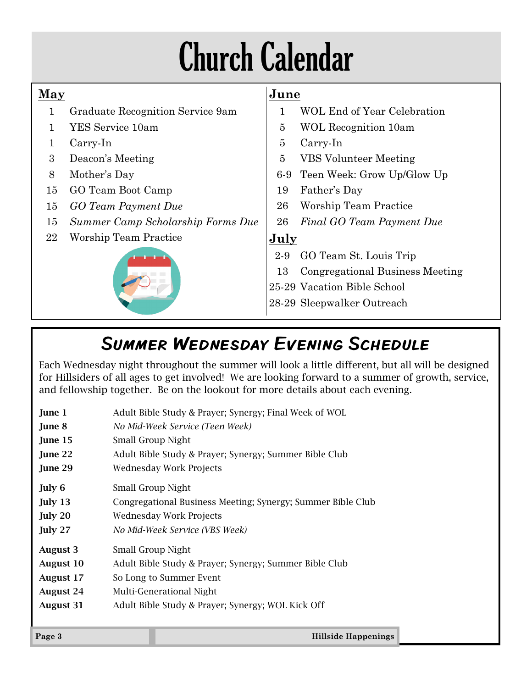# Church Calendar

### **May**

- 1 Graduate Recognition Service 9am
- 1 YES Service 10am
- 1 Carry-In
- 3 Deacon's Meeting
- 8 Mother's Day
- 15 GO Team Boot Camp
- 15 *GO Team Payment Due*
- 15 *Summer Camp Scholarship Forms Due*
- 22 Worship Team Practice



### **June**

- 1 WOL End of Year Celebration
- 5 WOL Recognition 10am
- 5 Carry-In
- 5 VBS Volunteer Meeting
- 6-9 Teen Week: Grow Up/Glow Up
- 19 Father's Day
- 26 Worship Team Practice
- 26 *Final GO Team Payment Due*

### **July**

2-9 GO Team St. Louis Trip

- 13 Congregational Business Meeting
- 25-29 Vacation Bible School
- 28-29 Sleepwalker Outreach

### Summer Wednesday Evening Schedule

Each Wednesday night throughout the summer will look a little different, but all will be designed for Hillsiders of all ages to get involved! We are looking forward to a summer of growth, service, and fellowship together. Be on the lookout for more details about each evening.

| <b>August 31</b> | Adult Bible Study & Prayer; Synergy; WOL Kick Off           |  |
|------------------|-------------------------------------------------------------|--|
| <b>August 24</b> | Multi-Generational Night                                    |  |
| <b>August 17</b> | So Long to Summer Event                                     |  |
| <b>August 10</b> | Adult Bible Study & Prayer; Synergy; Summer Bible Club      |  |
| <b>August 3</b>  | Small Group Night                                           |  |
| July 27          | No Mid-Week Service (VBS Week)                              |  |
| July 20          | Wednesday Work Projects                                     |  |
| July 13          | Congregational Business Meeting; Synergy; Summer Bible Club |  |
| July 6           | Small Group Night                                           |  |
| June 29          | <b>Wednesday Work Projects</b>                              |  |
| June 22          | Adult Bible Study & Prayer; Synergy; Summer Bible Club      |  |
| June 15          | Small Group Night                                           |  |
| June 8           | No Mid-Week Service (Teen Week)                             |  |
| June 1           | Adult Bible Study & Prayer; Synergy; Final Week of WOL      |  |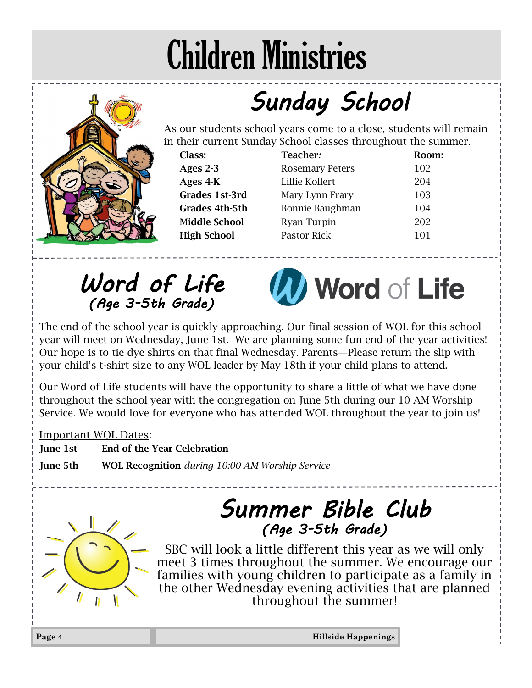## Children Ministries

## *Sunday School*

As our students school years come to a close, students will remain in their current Sunday School classes throughout the summer.

| Class:               | Teacher:               | Room: |
|----------------------|------------------------|-------|
| Ages 2-3             | <b>Rosemary Peters</b> | 102   |
| Ages 4-K             | Lillie Kollert         | 204   |
| Grades 1st-3rd       | Mary Lynn Frary        | 103   |
| Grades 4th-5th       | Bonnie Baughman        | 104   |
| <b>Middle School</b> | Ryan Turpin            | 202   |
| <b>High School</b>   | Pastor Rick            | 101   |

*Word of Life (Age 3-5th Grade)* 



The end of the school year is quickly approaching. Our final session of WOL for this school year will meet on Wednesday, June 1st. We are planning some fun end of the year activities! Our hope is to tie dye shirts on that final Wednesday. Parents—Please return the slip with your child's t-shirt size to any WOL leader by May 18th if your child plans to attend.

Our Word of Life students will have the opportunity to share a little of what we have done throughout the school year with the congregation on June 5th during our 10 AM Worship Service. We would love for everyone who has attended WOL throughout the year to join us!

Important WOL Dates:

June 1st End of the Year Celebration

June 5th WOL Recognition *during 10:00 AM Worship Service* 

### *Summer Bible Club (Age 3-5th Grade)*

SBC will look a little different this year as we will only meet 3 times throughout the summer. We encourage our families with young children to participate as a family in the other Wednesday evening activities that are planned throughout the summer!



**Page 4 Hillside Happenings**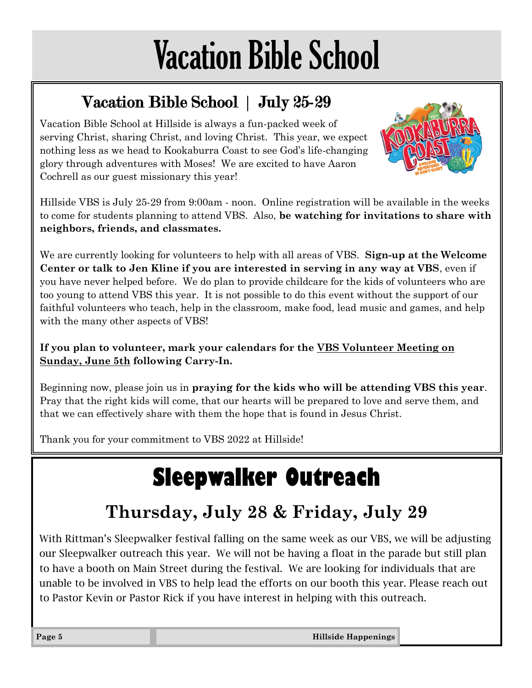# Vacation Bible School

### Vacation Bible School | July 25-29

Vacation Bible School at Hillside is always a fun-packed week of serving Christ, sharing Christ, and loving Christ. This year, we expect nothing less as we head to Kookaburra Coast to see God's life-changing glory through adventures with Moses! We are excited to have Aaron Cochrell as our guest missionary this year!



Hillside VBS is July 25-29 from 9:00am - noon. Online registration will be available in the weeks to come for students planning to attend VBS. Also, **be watching for invitations to share with neighbors, friends, and classmates.**

We are currently looking for volunteers to help with all areas of VBS. **Sign-up at the Welcome Center or talk to Jen Kline if you are interested in serving in any way at VBS**, even if you have never helped before. We do plan to provide childcare for the kids of volunteers who are too young to attend VBS this year. It is not possible to do this event without the support of our faithful volunteers who teach, help in the classroom, make food, lead music and games, and help with the many other aspects of VBS!

### **If you plan to volunteer, mark your calendars for the VBS Volunteer Meeting on Sunday, June 5th following Carry-In.**

Beginning now, please join us in **praying for the kids who will be attending VBS this year**. Pray that the right kids will come, that our hearts will be prepared to love and serve them, and that we can effectively share with them the hope that is found in Jesus Christ.

Thank you for your commitment to VBS 2022 at Hillside!

## **Sleepwalker Outreach**

### **Thursday, July 28 & Friday, July 29**

With Rittman's Sleepwalker festival falling on the same week as our VBS, we will be adjusting our Sleepwalker outreach this year. We will not be having a float in the parade but still plan to have a booth on Main Street during the festival. We are looking for individuals that are unable to be involved in VBS to help lead the efforts on our booth this year. Please reach out to Pastor Kevin or Pastor Rick if you have interest in helping with this outreach.